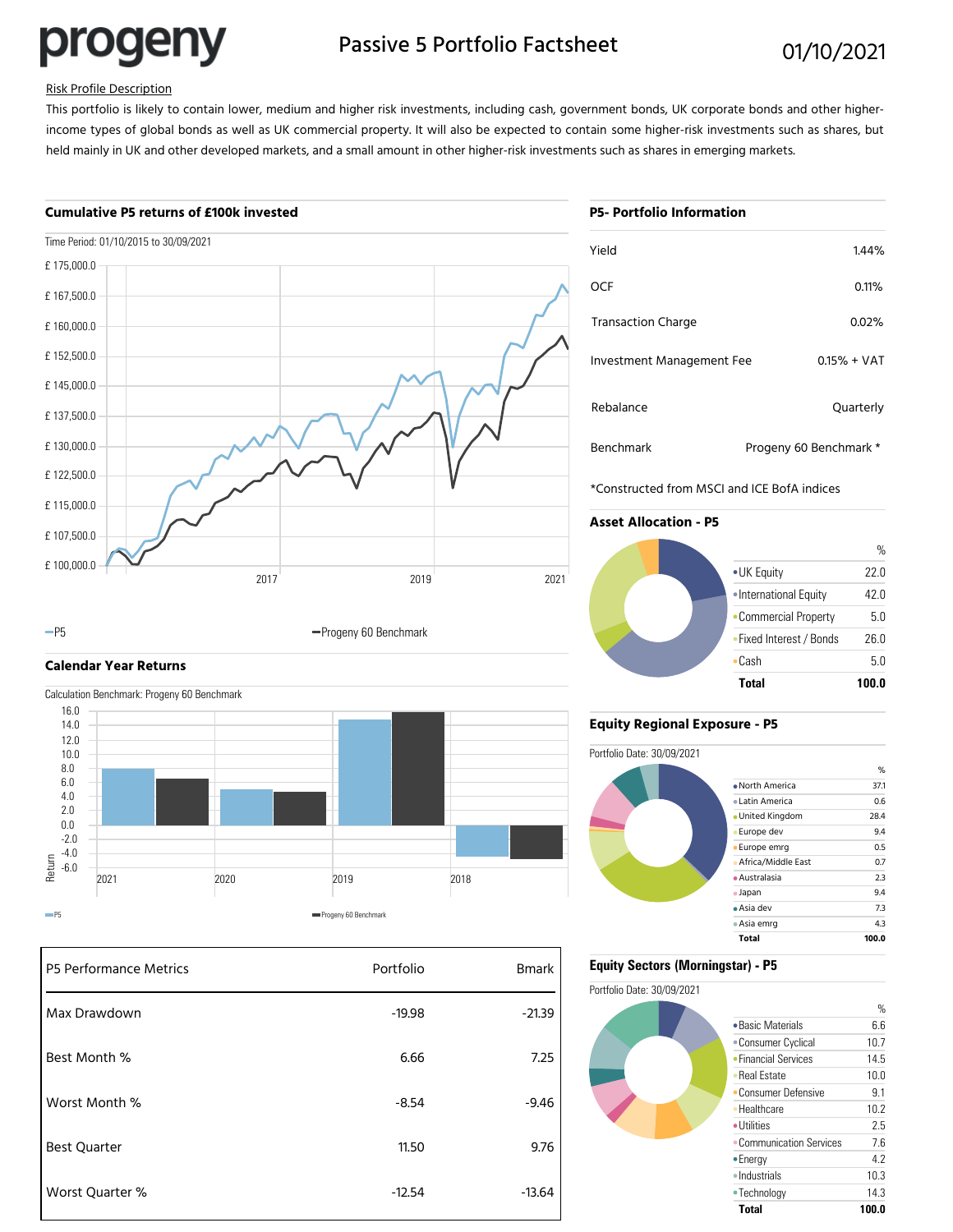progeny

# Passive 5 Portfolio Factsheet 01/10/2021

# Risk Profile Description

This portfolio is likely to contain lower, medium and higher risk investments, including cash, government bonds, UK corporate bonds and other higherincome types of global bonds as well as UK commercial property. It will also be expected to contain some higher-risk investments such as shares, but held mainly in UK and other developed markets, and a small amount in other higher-risk investments such as shares in emerging markets.

### **Cumulative P5 returns of £100k invested**



#### -P5 **Progeny 60 Benchmark**

# **Calendar Year Returns**

Calculation Benchmark: Progeny 60 Benchmark



| P5 Performance Metrics | Portfolio | <b>Bmark</b> |
|------------------------|-----------|--------------|
| Max Drawdown           | $-19.98$  | $-21.39$     |
| Best Month %           | 6.66      | 7.25         |
| Worst Month %          | $-8.54$   | $-9.46$      |
| <b>Best Quarter</b>    | 11.50     | 9.76         |
| Worst Quarter %        | $-12.54$  | $-13.64$     |

| <b>P5- Portfolio Information</b> |  |
|----------------------------------|--|

| Yield                     | 1.44%                  |
|---------------------------|------------------------|
| OCF                       | 0.11%                  |
| <b>Transaction Charge</b> | $0.02\%$               |
| Investment Management Fee | $0.15% + VAT$          |
| Rebalance                 | Quarterly              |
| <b>Benchmark</b>          | Progeny 60 Benchmark * |

\*Constructed from MSCI and ICE BofA indices

# **Asset Allocation - P5**



## **Equity Regional Exposure - P5**



# **Equity Sectors (Morningstar) - P5**